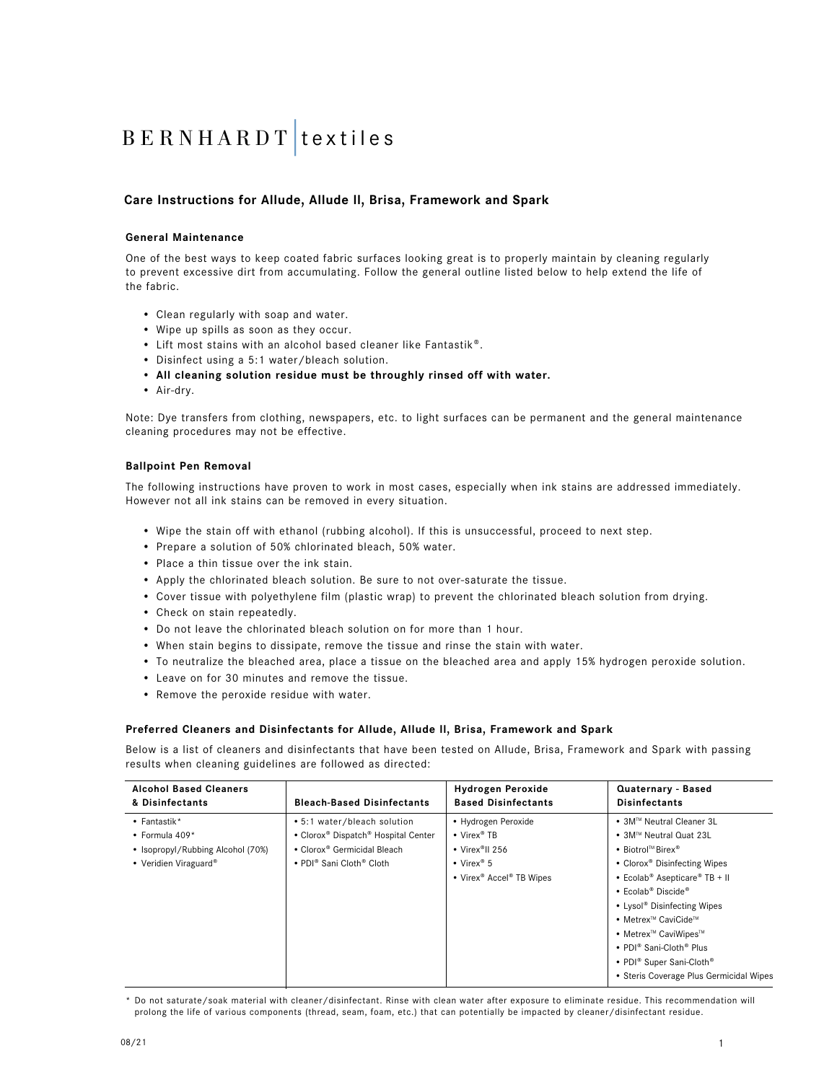## **Care Instructions for Allude, Allude ll, Brisa, Framework and Spark**

### **General Maintenance**

One of the best ways to keep coated fabric surfaces looking great is to properly maintain by cleaning regularly to prevent excessive dirt from accumulating. Follow the general outline listed below to help extend the life of the fabric.

- Clean regularly with soap and water.
- Wipe up spills as soon as they occur.
- Lift most stains with an alcohol based cleaner like Fantastik®.
- Disinfect using a 5:1 water/bleach solution.
- **• All cleaning solution residue must be throughly rinsed off with water.**
- Air-dry.

Note: Dye transfers from clothing, newspapers, etc. to light surfaces can be permanent and the general maintenance cleaning procedures may not be effective.

### **Ballpoint Pen Removal**

The following instructions have proven to work in most cases, especially when ink stains are addressed immediately. However not all ink stains can be removed in every situation.

- Wipe the stain off with ethanol (rubbing alcohol). If this is unsuccessful, proceed to next step.
- Prepare a solution of 50% chlorinated bleach, 50% water.
- Place a thin tissue over the ink stain.
- Apply the chlorinated bleach solution. Be sure to not over-saturate the tissue.
- Cover tissue with polyethylene film (plastic wrap) to prevent the chlorinated bleach solution from drying.
- Check on stain repeatedly.
- Do not leave the chlorinated bleach solution on for more than 1 hour.
- When stain begins to dissipate, remove the tissue and rinse the stain with water.
- To neutralize the bleached area, place a tissue on the bleached area and apply 15% hydrogen peroxide solution.
- Leave on for 30 minutes and remove the tissue.
- Remove the peroxide residue with water.

### **Preferred Cleaners and Disinfectants for Allude, Allude ll, Brisa, Framework and Spark**

Below is a list of cleaners and disinfectants that have been tested on Allude, Brisa, Framework and Spark with passing results when cleaning guidelines are followed as directed:

| <b>Alcohol Based Cleaners</b>                                                                              | <b>Bleach-Based Disinfectants</b>                                                                                                                     | <b>Hydrogen Peroxide</b>                                                                                                                        | Quaternary - Based                                                                                                                                                                                                                                                                                                                                                                                                                                                                                     |
|------------------------------------------------------------------------------------------------------------|-------------------------------------------------------------------------------------------------------------------------------------------------------|-------------------------------------------------------------------------------------------------------------------------------------------------|--------------------------------------------------------------------------------------------------------------------------------------------------------------------------------------------------------------------------------------------------------------------------------------------------------------------------------------------------------------------------------------------------------------------------------------------------------------------------------------------------------|
| & Disinfectants                                                                                            |                                                                                                                                                       | <b>Based Disinfectants</b>                                                                                                                      | <b>Disinfectants</b>                                                                                                                                                                                                                                                                                                                                                                                                                                                                                   |
| $\bullet$ Fantastik*<br>$\cdot$ Formula 409*<br>• Isopropyl/Rubbing Alcohol (70%)<br>• Veridien Viraguard® | • 5:1 water/bleach solution<br>• Clorox® Dispatch® Hospital Center<br>• Clorox® Germicidal Bleach<br>• PDI <sup>®</sup> Sani Cloth <sup>®</sup> Cloth | • Hydrogen Peroxide<br>• Virex® TB<br>• Virex <sup>®</sup> II 256<br>• Virex <sup>®</sup> 5<br>• Virex <sup>®</sup> Accel <sup>®</sup> TB Wipes | ● 3M™ Neutral Cleaner 3L<br>• 3M™ Neutral Quat 23L<br>• Biotrol <sup>™</sup> Birex <sup>®</sup><br>• Clorox <sup>®</sup> Disinfecting Wipes<br>• Ecolab <sup>®</sup> Asepticare <sup>®</sup> TB + II<br>$\bullet$ Ecolab <sup>®</sup> Discide <sup>®</sup><br>• Lysol <sup>®</sup> Disinfecting Wipes<br>• Metrex™ CaviCide™<br>• Metrex™ CaviWipes™<br>• PDI <sup>®</sup> Sani-Cloth <sup>®</sup> Plus<br>• PDI <sup>®</sup> Super Sani-Cloth <sup>®</sup><br>• Steris Coverage Plus Germicidal Wipes |

\* Do not saturate/soak material with cleaner/disinfectant. Rinse with clean water after exposure to eliminate residue. This recommendation will prolong the life of various components (thread, seam, foam, etc.) that can potentially be impacted by cleaner/disinfectant residue.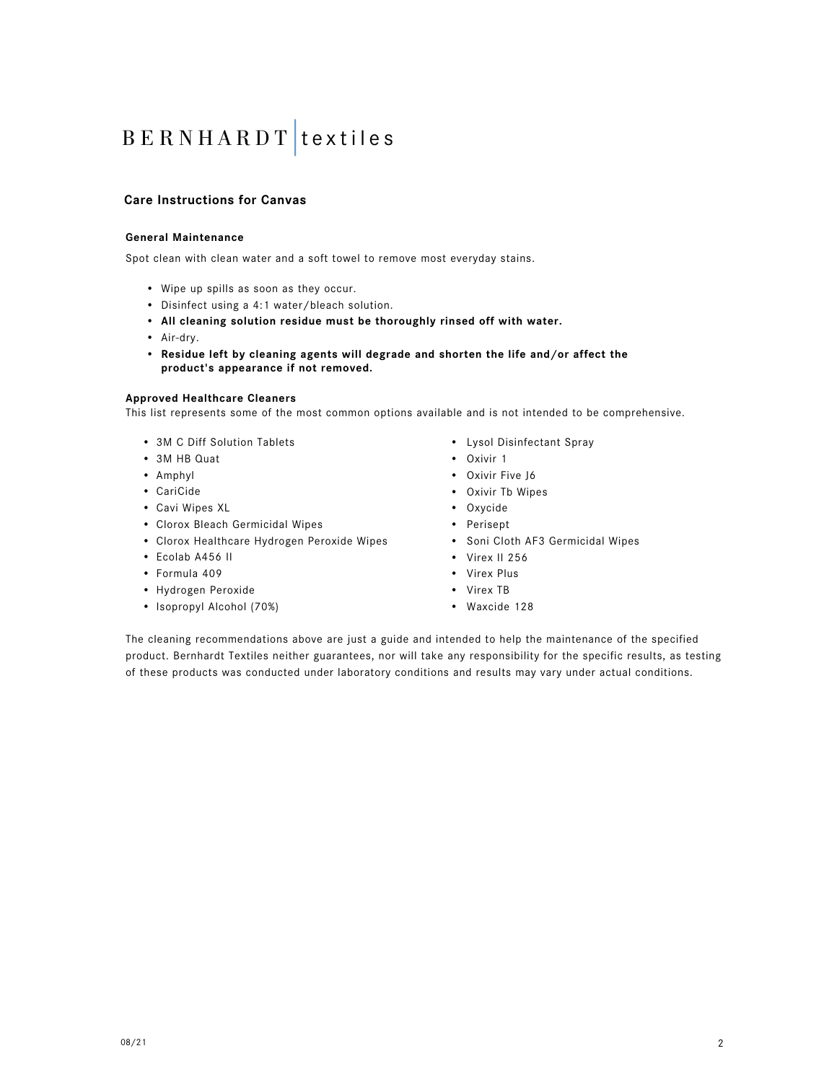## **Care Instructions for Canvas**

### **General Maintenance**

Spot clean with clean water and a soft towel to remove most everyday stains.

- Wipe up spills as soon as they occur.
- Disinfect using a 4:1 water/bleach solution.
- **All cleaning solution residue must be thoroughly rinsed off with water.**
- Air-dry.
- **• Residue left by cleaning agents will degrade and shorten the life and/or affect the product's appearance if not removed.**

#### **Approved Healthcare Cleaners**

This list represents some of the most common options available and is not intended to be comprehensive.

- 3M C Diff Solution Tablets
- 3M HB Quat
- Amphyl
- CariCide
- Cavi Wipes XL
- Clorox Bleach Germicidal Wipes
- Clorox Healthcare Hydrogen Peroxide Wipes
- Ecolab A456 II
- Formula 409
- Hydrogen Peroxide
- Isopropyl Alcohol (70%)
- Lysol Disinfectant Spray
- Oxivir 1
- Oxivir Five J6
- Oxivir Tb Wipes
- Oxycide
- Perisept
- Soni Cloth AF3 Germicidal Wipes
- Virex II 256
- Virex Plus
- Virex TB
- Waxcide 128

The cleaning recommendations above are just a guide and intended to help the maintenance of the specified product. Bernhardt Textiles neither guarantees, nor will take any responsibility for the specific results, as testing of these products was conducted under laboratory conditions and results may vary under actual conditions.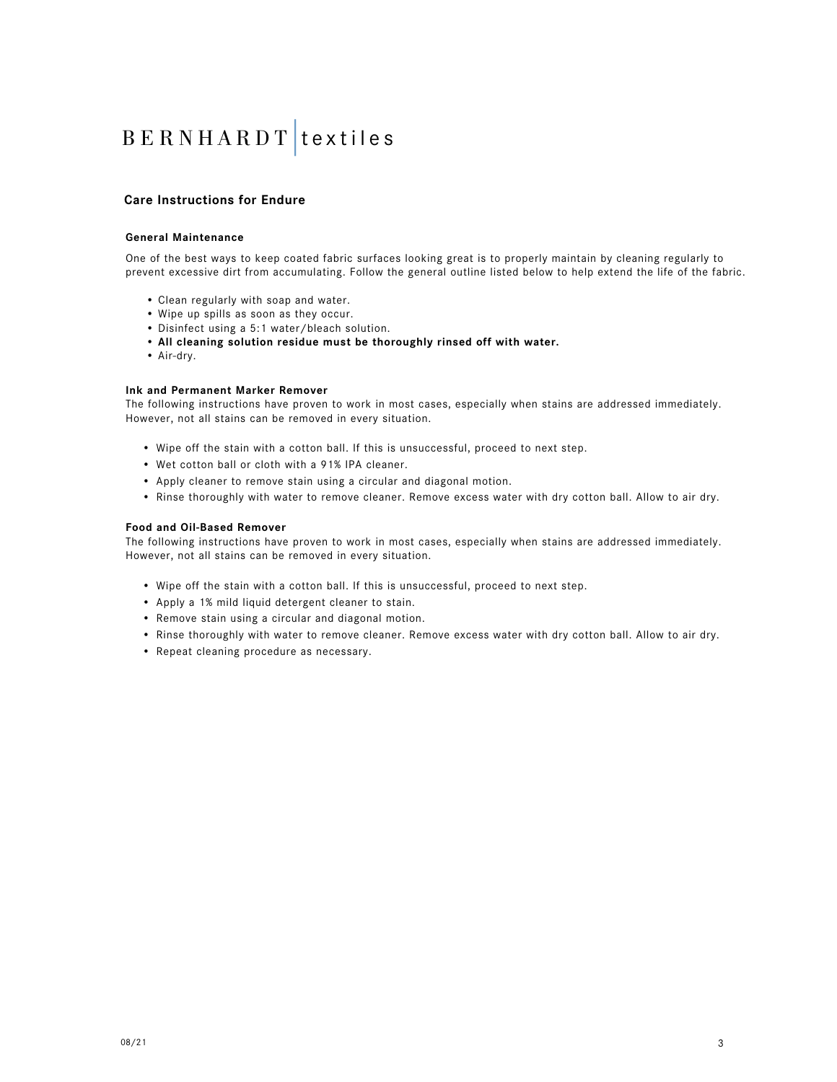### **Care Instructions for Endure**

#### **General Maintenance**

One of the best ways to keep coated fabric surfaces looking great is to properly maintain by cleaning regularly to prevent excessive dirt from accumulating. Follow the general outline listed below to help extend the life of the fabric.

- Clean regularly with soap and water.
- Wipe up spills as soon as they occur.
- Disinfect using a 5:1 water/bleach solution.
- • **All cleaning solution residue must be thoroughly rinsed off with water.**
- Air-dry.

### **Ink and Permanent Marker Remover**

The following instructions have proven to work in most cases, especially when stains are addressed immediately. However, not all stains can be removed in every situation.

- Wipe off the stain with a cotton ball. If this is unsuccessful, proceed to next step.
- Wet cotton ball or cloth with a 91% IPA cleaner.
- Apply cleaner to remove stain using a circular and diagonal motion.
- Rinse thoroughly with water to remove cleaner. Remove excess water with dry cotton ball. Allow to air dry.

#### **Food and Oil-Based Remover**

The following instructions have proven to work in most cases, especially when stains are addressed immediately. However, not all stains can be removed in every situation.

- Wipe off the stain with a cotton ball. If this is unsuccessful, proceed to next step.
- Apply a 1% mild liquid detergent cleaner to stain.
- Remove stain using a circular and diagonal motion.
- Rinse thoroughly with water to remove cleaner. Remove excess water with dry cotton ball. Allow to air dry.
- Repeat cleaning procedure as necessary.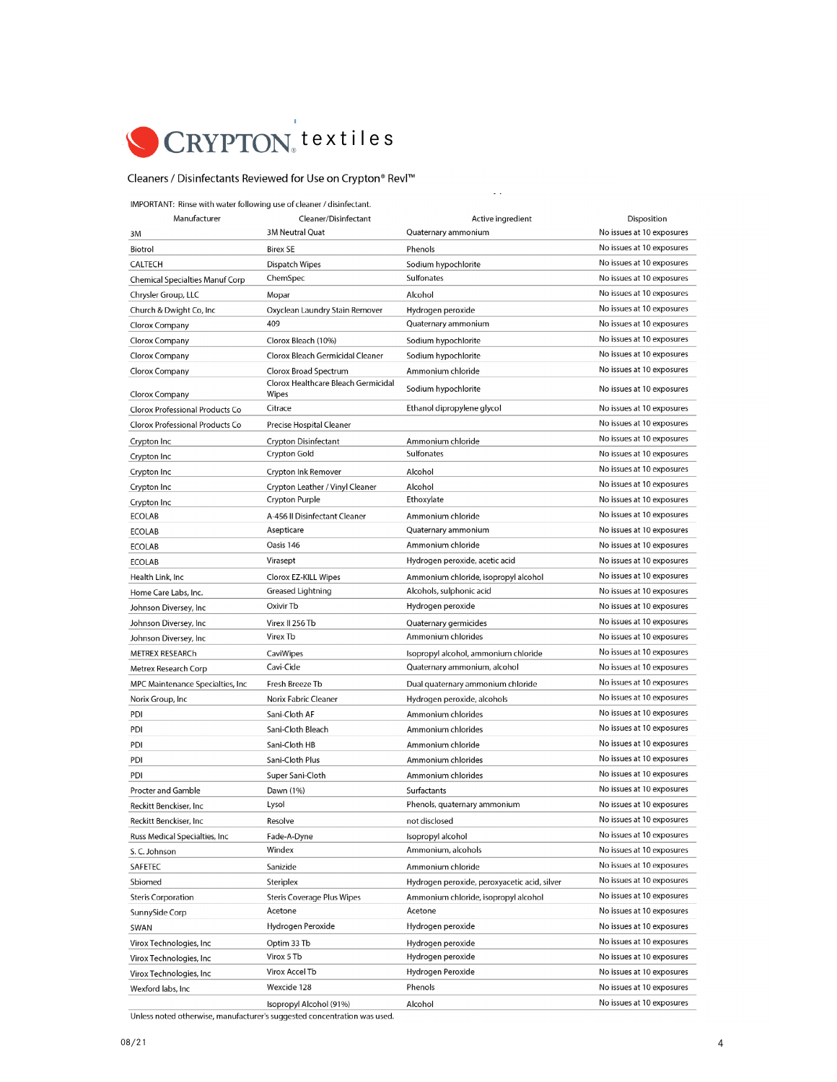

## Cleaners / Disinfectants Reviewed for Use on Crypton® Revl™

IMPORTANT: Rinse with water following use of cleaner / disinfectant.

| Manufacturer                           | Cleaner/Disinfectant                         | Active ingredient                            | Disposition               |
|----------------------------------------|----------------------------------------------|----------------------------------------------|---------------------------|
| ЗM                                     | 3M Neutral Quat                              | Quaternary ammonium                          | No issues at 10 exposures |
| Biotrol                                | <b>Birex SE</b>                              | Phenols                                      | No issues at 10 exposures |
| <b>CALTECH</b>                         | Dispatch Wipes                               | Sodium hypochlorite                          | No issues at 10 exposures |
| <b>Chemical Specialties Manuf Corp</b> | ChemSpec                                     | <b>Sulfonates</b>                            | No issues at 10 exposures |
| Chrysler Group, LLC                    | Mopar                                        | Alcohol                                      | No issues at 10 exposures |
| Church & Dwight Co, Inc.               | Oxyclean Laundry Stain Remover               | Hydrogen peroxide                            | No issues at 10 exposures |
| Clorox Company                         | 409                                          | Quaternary ammonium                          | No issues at 10 exposures |
| Clorox Company                         | Clorox Bleach (10%)                          | Sodium hypochlorite                          | No issues at 10 exposures |
| Clorox Company                         | Clorox Bleach Germicidal Cleaner             | Sodium hypochlorite                          | No issues at 10 exposures |
| Clorox Company                         | Clorox Broad Spectrum                        | Ammonium chloride                            | No issues at 10 exposures |
| Clorox Company                         | Clorox Healthcare Bleach Germicidal<br>Wipes | Sodium hypochlorite                          | No issues at 10 exposures |
| Clorox Professional Products Co        | Citrace                                      | Ethanol dipropylene glycol                   | No issues at 10 exposures |
| Clorox Professional Products Co        | Precise Hospital Cleaner                     |                                              | No issues at 10 exposures |
| Crypton Inc                            | <b>Crypton Disinfectant</b>                  | Ammonium chloride                            | No issues at 10 exposures |
| Crypton Inc                            | <b>Crypton Gold</b>                          | Sulfonates                                   | No issues at 10 exposures |
| Crypton Inc                            | Crypton Ink Remover                          | Alcohol                                      | No issues at 10 exposures |
| Crypton Inc                            | Crypton Leather / Vinyl Cleaner              | Alcohol                                      | No issues at 10 exposures |
| Crypton Inc                            | Crypton Purple                               | Ethoxylate                                   | No issues at 10 exposures |
| <b>ECOLAB</b>                          | A-456 II Disinfectant Cleaner                | Ammonium chloride                            | No issues at 10 exposures |
| <b>ECOLAB</b>                          | Asepticare                                   | Quaternary ammonium                          | No issues at 10 exposures |
| <b>ECOLAB</b>                          | Oasis 146                                    | Ammonium chloride                            | No issues at 10 exposures |
| <b>ECOLAB</b>                          | Virasept                                     | Hydrogen peroxide, acetic acid               | No issues at 10 exposures |
| Health Link, Inc.                      | Clorox EZ-KILL Wipes                         | Ammonium chloride, isopropyl alcohol         | No issues at 10 exposures |
| Home Care Labs, Inc.                   | Greased Lightning                            | Alcohols, sulphonic acid                     | No issues at 10 exposures |
| Johnson Diversey, Inc                  | Oxivir Tb                                    | Hydrogen peroxide                            | No issues at 10 exposures |
| Johnson Diversey, Inc                  | Virex II 256 Tb                              | Quaternary germicides                        | No issues at 10 exposures |
| Johnson Diversey, Inc                  | Virex Tb                                     | Ammonium chlorides                           | No issues at 10 exposures |
| <b>METREX RESEARCH</b>                 | CaviWipes                                    | Isopropyl alcohol, ammonium chloride         | No issues at 10 exposures |
| Metrex Research Corp                   | Cavi-Cide                                    | Quaternary ammonium, alcohol                 | No issues at 10 exposures |
| MPC Maintenance Specialties, Inc       | Fresh Breeze Tb                              | Dual quaternary ammonium chloride            | No issues at 10 exposures |
| Norix Group, Inc                       | Norix Fabric Cleaner                         | Hydrogen peroxide, alcohols                  | No issues at 10 exposures |
| PDI                                    | Sani-Cloth AF                                | Ammonium chlorides                           | No issues at 10 exposures |
| PDI                                    | Sani-Cloth Bleach                            | Ammonium chlorides                           | No issues at 10 exposures |
| PDI                                    | Sani-Cloth HB                                | Ammonium chloride                            | No issues at 10 exposures |
| PDI                                    | Sani-Cloth Plus                              | Ammonium chlorides                           | No issues at 10 exposures |
| PDI                                    | Super Sani-Cloth                             | Ammonium chlorides                           | No issues at 10 exposures |
| Procter and Gamble                     | Dawn (1%)                                    | Surfactants                                  | No issues at 10 exposures |
| Reckitt Benckiser, Inc                 | Lysol                                        | Phenols, quaternary ammonium                 | No issues at 10 exposures |
| Reckitt Benckiser, Inc.                | Resolve                                      | not disclosed                                | No issues at 10 exposures |
| Russ Medical Specialties, Inc.         | Fade-A-Dyne                                  | Isopropyl alcohol                            | No issues at 10 exposures |
| S.C. Johnson                           | Windex                                       | Ammonium, alcohols                           | No issues at 10 exposures |
| SAFETEC                                | Sanizide                                     | Ammonium chloride                            | No issues at 10 exposures |
| Sbiomed                                | Steriplex                                    | Hydrogen peroxide, peroxyacetic acid, silver | No issues at 10 exposures |
| <b>Steris Corporation</b>              | <b>Steris Coverage Plus Wipes</b>            | Ammonium chloride, isopropyl alcohol         | No issues at 10 exposures |
| SunnySide Corp                         | Acetone                                      | Acetone                                      | No issues at 10 exposures |
| SWAN                                   | Hydrogen Peroxide                            | Hydrogen peroxide                            | No issues at 10 exposures |
| Virox Technologies, Inc                | Optim 33 Tb                                  | Hydrogen peroxide                            | No issues at 10 exposures |
| Virox Technologies, Inc                | Virox 5 Tb                                   | Hydrogen peroxide                            | No issues at 10 exposures |
| Virox Technologies, Inc.               | Virox Accel Tb                               | Hydrogen Peroxide                            | No issues at 10 exposures |
| Wexford labs, Inc                      | Wexcide 128                                  | Phenols                                      | No issues at 10 exposures |
|                                        | Isopropyl Alcohol (91%)                      | Alcohol                                      | No issues at 10 exposures |

 $\mathbb{Z}^{\mathbb{Z}}$ 

Unless noted otherwise, manufacturer's suggested concentration was used.